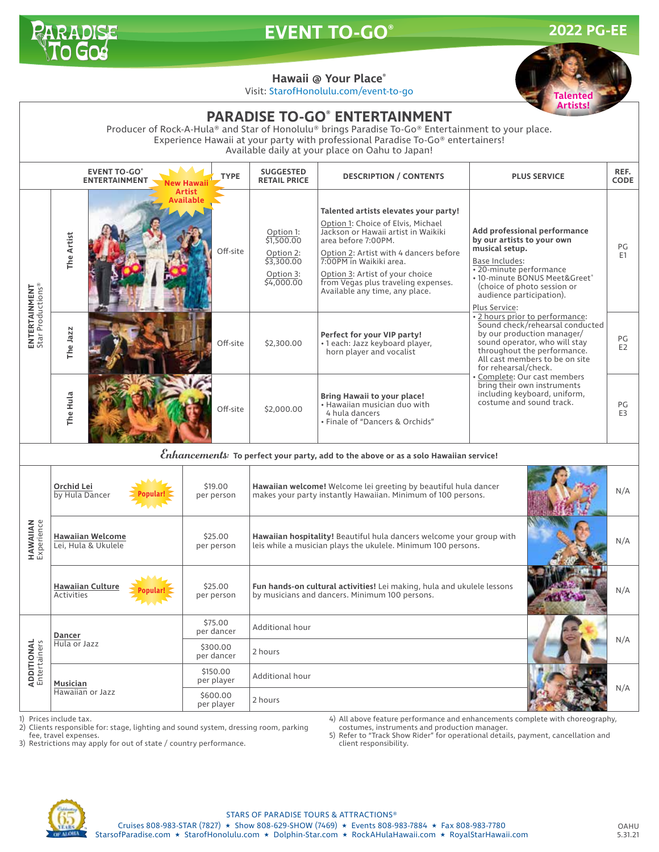

## **EVENT TO-GO® 2022 PG-EE**

**Talented**

## **Hawaii @ Your Place®**

Visit: StarofHonolulu.com/event-to-go



1) Prices include tax.<br>2) Clients responsible

2) Clients responsible for: stage, lighting and sound system, dressing room, parking fee, travel expenses.

4) All above feature performance and enhancements complete with choreography, costumes, instruments and production manager.

3) Restrictions may apply for out of state / country performance.

5) Refer to "Track Show Rider" for operational details, payment, cancellation and client responsibility.